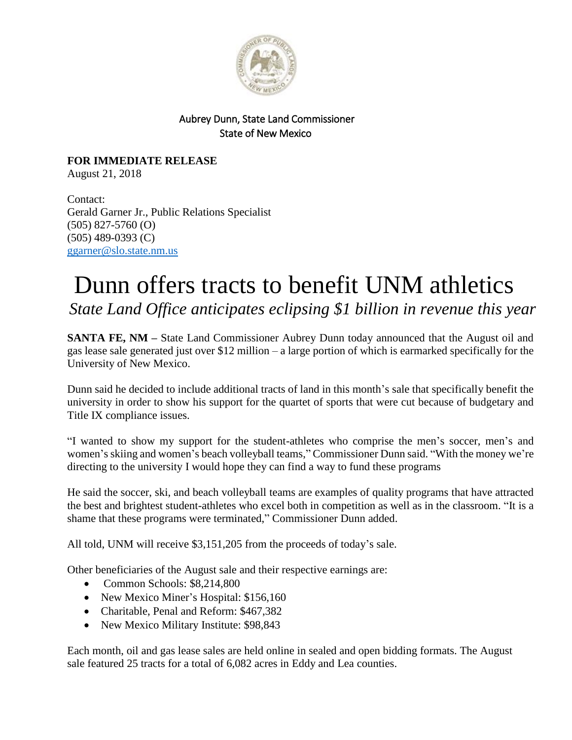

## Aubrey Dunn, State Land Commissioner State of New Mexico

**FOR IMMEDIATE RELEASE** August 21, 2018

Contact: Gerald Garner Jr., Public Relations Specialist (505) 827-5760 (O) (505) 489-0393 (C) [ggarner@slo.state.nm.us](mailto:ggarner@slo.state.nm.us)

## Dunn offers tracts to benefit UNM athletics *State Land Office anticipates eclipsing \$1 billion in revenue this year*

**SANTA FE, NM** – State Land Commissioner Aubrey Dunn today announced that the August oil and gas lease sale generated just over \$12 million – a large portion of which is earmarked specifically for the University of New Mexico.

Dunn said he decided to include additional tracts of land in this month's sale that specifically benefit the university in order to show his support for the quartet of sports that were cut because of budgetary and Title IX compliance issues.

"I wanted to show my support for the student-athletes who comprise the men's soccer, men's and women's skiing and women's beach volleyball teams," Commissioner Dunn said. "With the money we're directing to the university I would hope they can find a way to fund these programs

He said the soccer, ski, and beach volleyball teams are examples of quality programs that have attracted the best and brightest student-athletes who excel both in competition as well as in the classroom. "It is a shame that these programs were terminated," Commissioner Dunn added.

All told, UNM will receive \$3,151,205 from the proceeds of today's sale.

Other beneficiaries of the August sale and their respective earnings are:

- Common Schools: \$8,214,800
- New Mexico Miner's Hospital: \$156,160
- Charitable, Penal and Reform: \$467,382
- New Mexico Military Institute: \$98,843

Each month, oil and gas lease sales are held online in sealed and open bidding formats. The August sale featured 25 tracts for a total of 6,082 acres in Eddy and Lea counties.